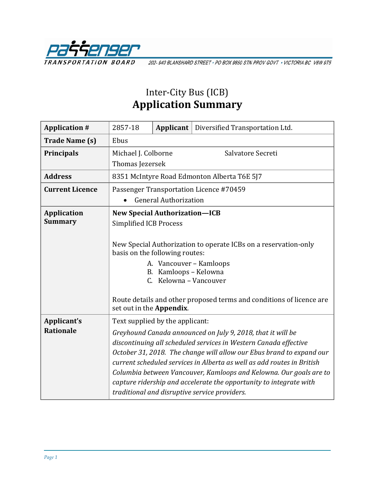

202-940 BLANSHARD STREET · PO BOX 9850 STN PROV GOVT · VICTORIA BC V8W 9T5

## Inter-City Bus (ICB) **Application Summary**

| <b>Application #</b>   | 2857-18                                                                                                                                                                                                                                                                                                                                                                                                                                                                        | Applicant | Diversified Transportation Ltd. |  |  |
|------------------------|--------------------------------------------------------------------------------------------------------------------------------------------------------------------------------------------------------------------------------------------------------------------------------------------------------------------------------------------------------------------------------------------------------------------------------------------------------------------------------|-----------|---------------------------------|--|--|
| <b>Trade Name (s)</b>  | Ebus                                                                                                                                                                                                                                                                                                                                                                                                                                                                           |           |                                 |  |  |
| <b>Principals</b>      | Salvatore Secreti<br>Michael J. Colborne                                                                                                                                                                                                                                                                                                                                                                                                                                       |           |                                 |  |  |
|                        | Thomas Jezersek                                                                                                                                                                                                                                                                                                                                                                                                                                                                |           |                                 |  |  |
| <b>Address</b>         | 8351 McIntyre Road Edmonton Alberta T6E 5J7                                                                                                                                                                                                                                                                                                                                                                                                                                    |           |                                 |  |  |
| <b>Current Licence</b> | Passenger Transportation Licence #70459                                                                                                                                                                                                                                                                                                                                                                                                                                        |           |                                 |  |  |
|                        | <b>General Authorization</b>                                                                                                                                                                                                                                                                                                                                                                                                                                                   |           |                                 |  |  |
| <b>Application</b>     | <b>New Special Authorization-ICB</b>                                                                                                                                                                                                                                                                                                                                                                                                                                           |           |                                 |  |  |
| <b>Summary</b>         | <b>Simplified ICB Process</b>                                                                                                                                                                                                                                                                                                                                                                                                                                                  |           |                                 |  |  |
|                        | New Special Authorization to operate ICBs on a reservation-only<br>basis on the following routes:<br>A. Vancouver - Kamloops<br>Kamloops - Kelowna<br>B.<br>C. Kelowna - Vancouver<br>Route details and other proposed terms and conditions of licence are<br>set out in the Appendix.                                                                                                                                                                                         |           |                                 |  |  |
| Applicant's            | Text supplied by the applicant:                                                                                                                                                                                                                                                                                                                                                                                                                                                |           |                                 |  |  |
| <b>Rationale</b>       | Greyhound Canada announced on July 9, 2018, that it will be<br>discontinuing all scheduled services in Western Canada effective<br>October 31, 2018. The change will allow our Ebus brand to expand our<br>current scheduled services in Alberta as well as add routes in British<br>Columbia between Vancouver, Kamloops and Kelowna. Our goals are to<br>capture ridership and accelerate the opportunity to integrate with<br>traditional and disruptive service providers. |           |                                 |  |  |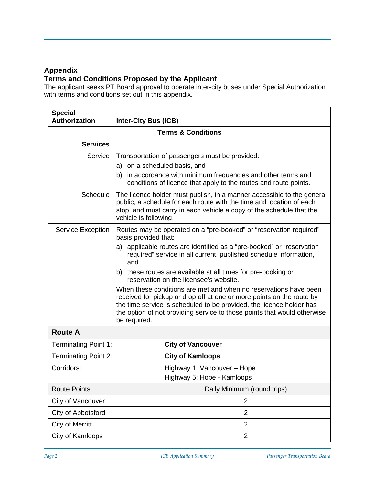## **Appendix**

## **Terms and Conditions Proposed by the Applicant**

The applicant seeks PT Board approval to operate inter-city buses under Special Authorization with terms and conditions set out in this appendix.

| <b>Special</b><br><b>Authorization</b> | <b>Inter-City Bus (ICB)</b>                                                                                                                                                                                                                                                                                   |                                                                                                                                            |  |  |  |
|----------------------------------------|---------------------------------------------------------------------------------------------------------------------------------------------------------------------------------------------------------------------------------------------------------------------------------------------------------------|--------------------------------------------------------------------------------------------------------------------------------------------|--|--|--|
| <b>Terms &amp; Conditions</b>          |                                                                                                                                                                                                                                                                                                               |                                                                                                                                            |  |  |  |
| <b>Services</b>                        |                                                                                                                                                                                                                                                                                                               |                                                                                                                                            |  |  |  |
| Service                                | Transportation of passengers must be provided:<br>a) on a scheduled basis, and<br>b) in accordance with minimum frequencies and other terms and<br>conditions of licence that apply to the routes and route points.                                                                                           |                                                                                                                                            |  |  |  |
| <b>Schedule</b>                        | The licence holder must publish, in a manner accessible to the general<br>public, a schedule for each route with the time and location of each<br>stop, and must carry in each vehicle a copy of the schedule that the<br>vehicle is following.                                                               |                                                                                                                                            |  |  |  |
| <b>Service Exception</b>               | Routes may be operated on a "pre-booked" or "reservation required"<br>basis provided that:                                                                                                                                                                                                                    |                                                                                                                                            |  |  |  |
|                                        | and                                                                                                                                                                                                                                                                                                           | a) applicable routes are identified as a "pre-booked" or "reservation<br>required" service in all current, published schedule information, |  |  |  |
|                                        | b) these routes are available at all times for pre-booking or<br>reservation on the licensee's website.                                                                                                                                                                                                       |                                                                                                                                            |  |  |  |
|                                        | When these conditions are met and when no reservations have been<br>received for pickup or drop off at one or more points on the route by<br>the time service is scheduled to be provided, the licence holder has<br>the option of not providing service to those points that would otherwise<br>be required. |                                                                                                                                            |  |  |  |
| <b>Route A</b>                         |                                                                                                                                                                                                                                                                                                               |                                                                                                                                            |  |  |  |
| <b>Terminating Point 1:</b>            |                                                                                                                                                                                                                                                                                                               | <b>City of Vancouver</b>                                                                                                                   |  |  |  |
| <b>Terminating Point 2:</b>            |                                                                                                                                                                                                                                                                                                               | <b>City of Kamloops</b>                                                                                                                    |  |  |  |
| Corridors:                             |                                                                                                                                                                                                                                                                                                               | Highway 1: Vancouver - Hope                                                                                                                |  |  |  |
|                                        |                                                                                                                                                                                                                                                                                                               | Highway 5: Hope - Kamloops                                                                                                                 |  |  |  |
| <b>Route Points</b>                    |                                                                                                                                                                                                                                                                                                               | Daily Minimum (round trips)                                                                                                                |  |  |  |
| City of Vancouver                      |                                                                                                                                                                                                                                                                                                               | $\overline{2}$                                                                                                                             |  |  |  |
| City of Abbotsford                     |                                                                                                                                                                                                                                                                                                               | $\overline{2}$                                                                                                                             |  |  |  |
| <b>City of Merritt</b>                 |                                                                                                                                                                                                                                                                                                               | $\overline{2}$                                                                                                                             |  |  |  |
| City of Kamloops                       |                                                                                                                                                                                                                                                                                                               | $\overline{2}$                                                                                                                             |  |  |  |